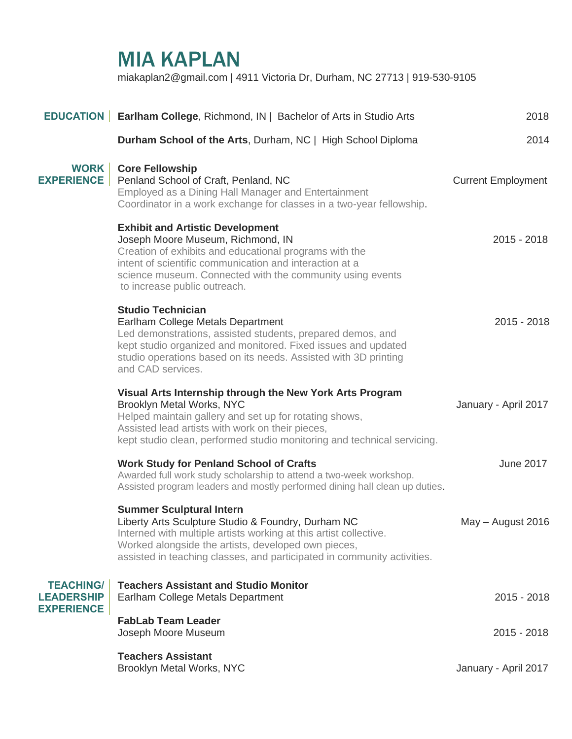## MIA KAPLAN

miakaplan2@gmail.com | 4911 Victoria Dr, Durham, NC 27713 | 919-530-9105

|                                       | <b>EDUCATION</b> Earlham College, Richmond, IN   Bachelor of Arts in Studio Arts                                                                                                                                                                                                               | 2018                      |
|---------------------------------------|------------------------------------------------------------------------------------------------------------------------------------------------------------------------------------------------------------------------------------------------------------------------------------------------|---------------------------|
|                                       | Durham School of the Arts, Durham, NC   High School Diploma                                                                                                                                                                                                                                    | 2014                      |
| WORK  <br><b>EXPERIENCE</b>           | <b>Core Fellowship</b><br>Penland School of Craft, Penland, NC<br>Employed as a Dining Hall Manager and Entertainment<br>Coordinator in a work exchange for classes in a two-year fellowship.                                                                                                  | <b>Current Employment</b> |
|                                       | <b>Exhibit and Artistic Development</b><br>Joseph Moore Museum, Richmond, IN<br>Creation of exhibits and educational programs with the<br>intent of scientific communication and interaction at a<br>science museum. Connected with the community using events<br>to increase public outreach. | $2015 - 2018$             |
|                                       | <b>Studio Technician</b><br>Earlham College Metals Department<br>Led demonstrations, assisted students, prepared demos, and<br>kept studio organized and monitored. Fixed issues and updated<br>studio operations based on its needs. Assisted with 3D printing<br>and CAD services.           | $2015 - 2018$             |
|                                       | Visual Arts Internship through the New York Arts Program<br>Brooklyn Metal Works, NYC<br>Helped maintain gallery and set up for rotating shows,<br>Assisted lead artists with work on their pieces,<br>kept studio clean, performed studio monitoring and technical servicing.                 | January - April 2017      |
|                                       | <b>Work Study for Penland School of Crafts</b><br>Awarded full work study scholarship to attend a two-week workshop.<br>Assisted program leaders and mostly performed dining hall clean up duties.                                                                                             | <b>June 2017</b>          |
|                                       | <b>Summer Sculptural Intern</b><br>Liberty Arts Sculpture Studio & Foundry, Durham NC<br>Interned with multiple artists working at this artist collective.<br>Worked alongside the artists, developed own pieces,<br>assisted in teaching classes, and participated in community activities.   | May - August 2016         |
| <b>TEACHING/</b><br><b>LEADERSHIP</b> | <b>Teachers Assistant and Studio Monitor</b><br>Earlham College Metals Department                                                                                                                                                                                                              | $2015 - 2018$             |
| <b>EXPERIENCE</b>                     | <b>FabLab Team Leader</b><br>Joseph Moore Museum                                                                                                                                                                                                                                               | 2015 - 2018               |
|                                       | <b>Teachers Assistant</b><br>Brooklyn Metal Works, NYC                                                                                                                                                                                                                                         | January - April 2017      |